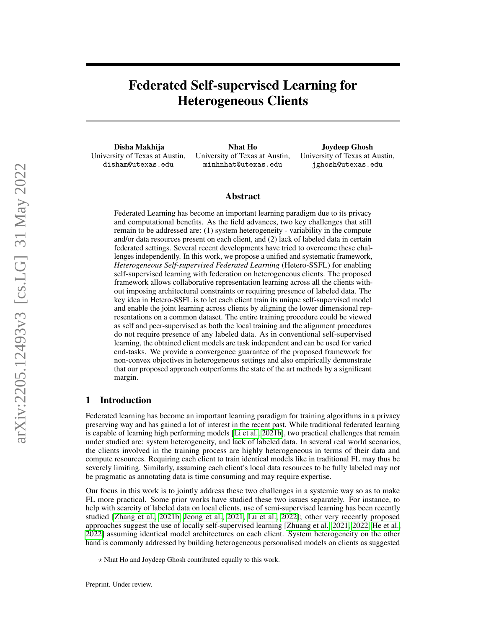# Federated Self-supervised Learning for Heterogeneous Clients

Disha Makhija University of Texas at Austin, disham@utexas.edu

Nhat Ho University of Texas at Austin, minhnhat@utexas.edu

Joydeep Ghosh University of Texas at Austin, jghosh@utexas.edu

## Abstract

Federated Learning has become an important learning paradigm due to its privacy and computational benefits. As the field advances, two key challenges that still remain to be addressed are: (1) system heterogeneity - variability in the compute and/or data resources present on each client, and (2) lack of labeled data in certain federated settings. Several recent developments have tried to overcome these challenges independently. In this work, we propose a unified and systematic framework, *Heterogeneous Self-supervised Federated Learning* (Hetero-SSFL) for enabling self-supervised learning with federation on heterogeneous clients. The proposed framework allows collaborative representation learning across all the clients without imposing architectural constraints or requiring presence of labeled data. The key idea in Hetero-SSFL is to let each client train its unique self-supervised model and enable the joint learning across clients by aligning the lower dimensional representations on a common dataset. The entire training procedure could be viewed as self and peer-supervised as both the local training and the alignment procedures do not require presence of any labeled data. As in conventional self-supervised learning, the obtained client models are task independent and can be used for varied end-tasks. We provide a convergence guarantee of the proposed framework for non-convex objectives in heterogeneous settings and also empirically demonstrate that our proposed approach outperforms the state of the art methods by a significant margin.

## 1 Introduction

Federated learning has become an important learning paradigm for training algorithms in a privacy preserving way and has gained a lot of interest in the recent past. While traditional federated learning is capable of learning high performing models [\[Li et al., 2021b\]](#page-10-0), two practical challenges that remain under studied are: system heterogeneity, and lack of labeled data. In several real world scenarios, the clients involved in the training process are highly heterogeneous in terms of their data and compute resources. Requiring each client to train identical models like in traditional FL may thus be severely limiting. Similarly, assuming each client's local data resources to be fully labeled may not be pragmatic as annotating data is time consuming and may require expertise.

Our focus in this work is to jointly address these two challenges in a systemic way so as to make FL more practical. Some prior works have studied these two issues separately. For instance, to help with scarcity of labeled data on local clients, use of semi-supervised learning has been recently studied [\[Zhang et al., 2021b,](#page-12-0) [Jeong et al., 2021,](#page-10-1) [Lu et al., 2022\]](#page-10-2); other very recently proposed approaches suggest the use of locally self-supervised learning [\[Zhuang et al., 2021,](#page-12-1) [2022,](#page-12-2) [He et al.,](#page-10-3) [2022\]](#page-10-3) assuming identical model architectures on each client. System heterogeneity on the other hand is commonly addressed by building heterogeneous personalised models on clients as suggested

 $\star$  Nhat Ho and Joydeep Ghosh contributed equally to this work.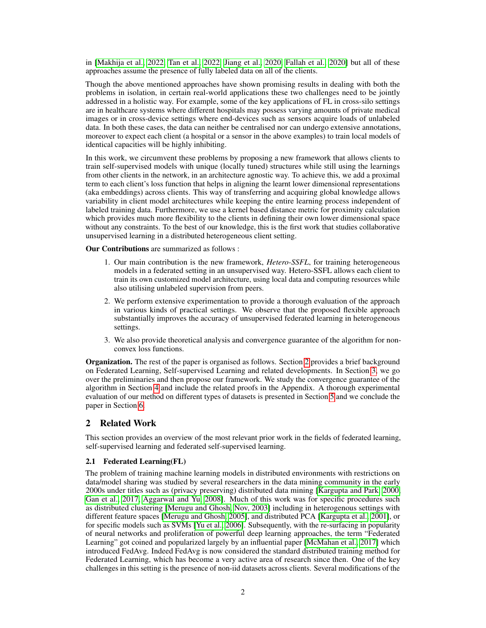in [\[Makhija et al., 2022,](#page-10-4) [Tan et al., 2022,](#page-11-0) [Jiang et al., 2020,](#page-10-5) [Fallah et al., 2020\]](#page-9-0) but all of these approaches assume the presence of fully labeled data on all of the clients.

Though the above mentioned approaches have shown promising results in dealing with both the problems in isolation, in certain real-world applications these two challenges need to be jointly addressed in a holistic way. For example, some of the key applications of FL in cross-silo settings are in healthcare systems where different hospitals may possess varying amounts of private medical images or in cross-device settings where end-devices such as sensors acquire loads of unlabeled data. In both these cases, the data can neither be centralised nor can undergo extensive annotations, moreover to expect each client (a hospital or a sensor in the above examples) to train local models of identical capacities will be highly inhibiting.

In this work, we circumvent these problems by proposing a new framework that allows clients to train self-supervised models with unique (locally tuned) structures while still using the learnings from other clients in the network, in an architecture agnostic way. To achieve this, we add a proximal term to each client's loss function that helps in aligning the learnt lower dimensional representations (aka embeddings) across clients. This way of transferring and acquiring global knowledge allows variability in client model architectures while keeping the entire learning process independent of labeled training data. Furthermore, we use a kernel based distance metric for proximity calculation which provides much more flexibility to the clients in defining their own lower dimensional space without any constraints. To the best of our knowledge, this is the first work that studies collaborative unsupervised learning in a distributed heterogeneous client setting.

Our Contributions are summarized as follows :

- 1. Our main contribution is the new framework, *Hetero-SSFL*, for training heterogeneous models in a federated setting in an unsupervised way. Hetero-SSFL allows each client to train its own customized model architecture, using local data and computing resources while also utilising unlabeled supervision from peers.
- 2. We perform extensive experimentation to provide a thorough evaluation of the approach in various kinds of practical settings. We observe that the proposed flexible approach substantially improves the accuracy of unsupervised federated learning in heterogeneous settings.
- 3. We also provide theoretical analysis and convergence guarantee of the algorithm for nonconvex loss functions.

**Organization.** The rest of the paper is organised as follows. Section [2](#page-1-0) provides a brief background on Federated Learning, Self-supervised Learning and related developments. In Section [3,](#page-2-0) we go over the preliminaries and then propose our framework. We study the convergence guarantee of the algorithm in Section [4](#page-4-0) and include the related proofs in the Appendix. A thorough experimental evaluation of our method on different types of datasets is presented in Section [5](#page-6-0) and we conclude the paper in Section [6.](#page-8-0)

## <span id="page-1-0"></span>2 Related Work

This section provides an overview of the most relevant prior work in the fields of federated learning, self-supervised learning and federated self-supervised learning.

## 2.1 Federated Learning(FL)

The problem of training machine learning models in distributed environments with restrictions on data/model sharing was studied by several researchers in the data mining community in the early 2000s under titles such as (privacy preserving) distributed data mining [\[Kargupta and Park, 2000,](#page-10-6) [Gan et al., 2017,](#page-9-1) [Aggarwal and Yu, 2008\]](#page-9-2). Much of this work was for specific procedures such as distributed clustering [\[Merugu and Ghosh, Nov, 2003\]](#page-11-1) including in heterogenous settings with different feature spaces [\[Merugu and Ghosh, 2005\]](#page-11-2), and distributed PCA [\[Kargupta et al., 2001\]](#page-10-7), or for specific models such as SVMs [\[Yu et al., 2006\]](#page-11-3). Subsequently, with the re-surfacing in popularity of neural networks and proliferation of powerful deep learning approaches, the term "Federated Learning" got coined and popularized largely by an influential paper [\[McMahan et al., 2017\]](#page-11-4) which introduced FedAvg. Indeed FedAvg is now considered the standard distributed training method for Federated Learning, which has become a very active area of research since then. One of the key challenges in this setting is the presence of non-iid datasets across clients. Several modifications of the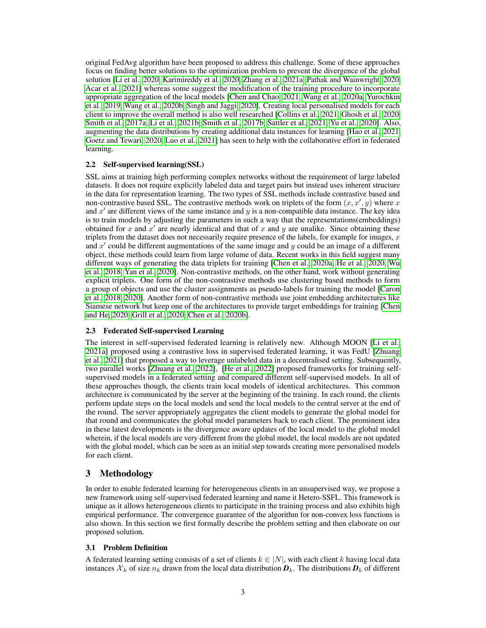original FedAvg algorithm have been proposed to address this challenge. Some of these approaches focus on finding better solutions to the optimization problem to prevent the divergence of the global solution [\[Li et al., 2020,](#page-10-8) [Karimireddy et al., 2020,](#page-10-9) [Zhang et al., 2021a,](#page-12-3) [Pathak and Wainwright, 2020,](#page-11-5) [Acar et al., 2021\]](#page-9-3) whereas some suggest the modification of the training procedure to incorporate appropriate aggregation of the local models [\[Chen and Chao, 2021,](#page-9-4) [Wang et al., 2020a,](#page-11-6) [Yurochkin](#page-12-4) [et al., 2019,](#page-12-4) [Wang et al., 2020b,](#page-11-7) [Singh and Jaggi, 2020\]](#page-11-8). Creating local personalised models for each client to improve the overall method is also well researched [\[Collins et al., 2021,](#page-9-5) [Ghosh et al., 2020,](#page-9-6) [Smith et al., 2017a,](#page-11-9) [Li et al., 2021b,](#page-10-0) [Smith et al., 2017b,](#page-11-10) [Sattler et al., 2021,](#page-11-11) [Yu et al., 2020\]](#page-11-12). Also, augmenting the data distributions by creating additional data instances for learning [\[Hao et al., 2021,](#page-10-10) [Goetz and Tewari, 2020,](#page-9-7) [Luo et al., 2021\]](#page-10-11) has seen to help with the collaborative effort in federated learning.

## 2.2 Self-supervised learning(SSL)

SSL aims at training high performing complex networks without the requirement of large labeled datasets. It does not require explicitly labeled data and target pairs but instead uses inherent structure in the data for representation learning. The two types of SSL methods include contrastive based and non-contrastive based SSL. The contrastive methods work on triplets of the form  $(x, x', y)$  where x and  $x'$  are different views of the same instance and  $y$  is a non-compatible data instance. The key idea is to train models by adjusting the parameters in such a way that the representations(embeddings) obtained for x and  $x'$  are nearly identical and that of x and y are unalike. Since obtaining these triplets from the dataset does not necessarily require presence of the labels, for example for images,  $x$ and  $x'$  could be different augmentations of the same image and  $y$  could be an image of a different object, these methods could learn from large volume of data. Recent works in this field suggest many different ways of generating the data triplets for training [\[Chen et al., 2020a,](#page-9-8) [He et al., 2020,](#page-10-12) [Wu](#page-11-13) [et al., 2018,](#page-11-13) [Yan et al., 2020\]](#page-11-14). Non-contrastive methods, on the other hand, work without generating explicit triplets. One form of the non-contrastive methods use clustering based methods to form a group of objects and use the cluster assignments as pseudo-labels for training the model [\[Caron](#page-9-9) [et al., 2018,](#page-9-9) [2020\]](#page-9-10). Another form of non-contrastive methods use joint embedding architectures like Siamese network but keep one of the architectures to provide target embeddings for training [\[Chen](#page-9-11) [and He, 2020,](#page-9-11) [Grill et al., 2020,](#page-9-12) [Chen et al., 2020b\]](#page-9-13).

#### 2.3 Federated Self-supervised Learning

The interest in self-supervised federated learning is relatively new. Although MOON [\[Li et al.,](#page-10-13) [2021a\]](#page-10-13) proposed using a contrastive loss in supervised federated learning, it was FedU [\[Zhuang](#page-12-1) [et al., 2021\]](#page-12-1) that proposed a way to leverage unlabeled data in a decentralised setting. Subsequently, two parallel works [\[Zhuang et al., 2022\]](#page-12-2), [\[He et al., 2022\]](#page-10-3) proposed frameworks for training selfsupervised models in a federated setting and compared different self-supervised models. In all of these approaches though, the clients train local models of identical architectures. This common architecture is communicated by the server at the beginning of the training. In each round, the clients perform update steps on the local models and send the local models to the central server at the end of the round. The server appropriately aggregates the client models to generate the global model for that round and communicates the global model parameters back to each client. The prominent idea in these latest developments is the divergence aware updates of the local model to the global model wherein, if the local models are very different from the global model, the local models are not updated with the global model, which can be seen as an initial step towards creating more personalised models for each client.

## <span id="page-2-0"></span>3 Methodology

In order to enable federated learning for heterogeneous clients in an unsupervised way, we propose a new framework using self-supervised federated learning and name it Hetero-SSFL. This framework is unique as it allows heterogeneous clients to participate in the training process and also exhibits high empirical performance. The convergence guarantee of the algorithm for non-convex loss functions is also shown. In this section we first formally describe the problem setting and then elaborate on our proposed solution.

#### 3.1 Problem Definition

A federated learning setting consists of a set of clients  $k \in |N|$ , with each client k having local data instances  $X_k$  of size  $n_k$  drawn from the local data distribution  $D_k$ . The distributions  $D_k$  of different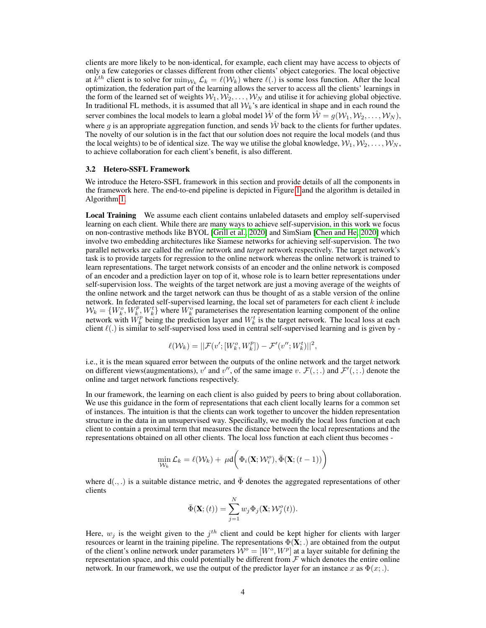clients are more likely to be non-identical, for example, each client may have access to objects of only a few categories or classes different from other clients' object categories. The local objective at  $k^{th}$  client is to solve for  $\min_{\mathcal{W}_k} \mathcal{L}_k = \ell(\mathcal{W}_k)$  where  $\ell(.)$  is some loss function. After the local optimization, the federation part of the learning allows the server to access all the clients' learnings in the form of the learned set of weights  $W_1, W_2, \ldots, W_N$  and utilise it for achieving global objective. In traditional FL methods, it is assumed that all  $W_k$ 's are identical in shape and in each round the server combines the local models to learn a global model  $\hat{W}$  of the form  $\hat{W} = g(W_1, W_2, \dots, W_N)$ , where g is an appropriate aggregation function, and sends  $\hat{W}$  back to the clients for further updates. The novelty of our solution is in the fact that our solution does not require the local models (and thus the local weights) to be of identical size. The way we utilise the global knowledge,  $W_1, W_2, \ldots, W_N$ , to achieve collaboration for each client's benefit, is also different.

#### 3.2 Hetero-SSFL Framework

We introduce the Hetero-SSFL framework in this section and provide details of all the components in the framework here. The end-to-end pipeline is depicted in Figure [1](#page-5-0) and the algorithm is detailed in Algorithm [1.](#page-6-1)

Local Training We assume each client contains unlabeled datasets and employ self-supervised learning on each client. While there are many ways to achieve self-supervision, in this work we focus on non-contrastive methods like BYOL [\[Grill et al., 2020\]](#page-9-12) and SimSiam [\[Chen and He, 2020\]](#page-9-11) which involve two embedding architectures like Siamese networks for achieving self-supervision. The two parallel networks are called the *online* network and *target* network respectively. The target network's task is to provide targets for regression to the online network whereas the online network is trained to learn representations. The target network consists of an encoder and the online network is composed of an encoder and a prediction layer on top of it, whose role is to learn better representations under self-supervision loss. The weights of the target network are just a moving average of the weights of the online network and the target network can thus be thought of as a stable version of the online network. In federated self-supervised learning, the local set of parameters for each client  $k$  include  $W_k = \{W_k^o, W_k^p, W_k^t\}$  where  $W_k^o$  parameterises the representation learning component of the online network with  $W_k^p$  being the prediction layer and  $W_k^t$  is the target network. The local loss at each client  $\ell(.)$  is similar to self-supervised loss used in central self-supervised learning and is given by -

$$
\ell(\mathcal{W}_k) = ||\mathcal{F}(v';[W_k^o,W_k^p]) - \mathcal{F}'(v'';W_k^t)||^2,
$$

i.e., it is the mean squared error between the outputs of the online network and the target network on different views (augmentations),  $v'$  and  $v''$ , of the same image  $v$ .  $\mathcal{F}(\cdot; \cdot)$  and  $\mathcal{F}'(\cdot; \cdot)$  denote the online and target network functions respectively.

In our framework, the learning on each client is also guided by peers to bring about collaboration. We use this guidance in the form of representations that each client locally learns for a common set of instances. The intuition is that the clients can work together to uncover the hidden representation structure in the data in an unsupervised way. Specifically, we modify the local loss function at each client to contain a proximal term that measures the distance between the local representations and the representations obtained on all other clients. The local loss function at each client thus becomes -

$$
\min_{\mathcal{W}_k} \mathcal{L}_k = \ell(\mathcal{W}_k) + \mu \mathsf{d}\bigg(\Phi_i(\mathbf{X}; \mathcal{W}_i^o), \bar{\Phi}(\mathbf{X}; (t-1))\bigg)
$$

where  $d(.,.)$  is a suitable distance metric, and  $\bar{\Phi}$  denotes the aggregated representations of other clients

$$
\bar{\Phi}(\mathbf{X};(t)) = \sum_{j=1}^{N} w_j \Phi_j(\mathbf{X}; \mathcal{W}_j^o(t)).
$$

Here,  $w_j$  is the weight given to the  $j<sup>th</sup>$  client and could be kept higher for clients with larger resources or learnt in the training pipeline. The representations  $\Phi(\mathbf{X};.)$  are obtained from the output of the client's online network under parameters  $\hat{W}^o = [W^o, W^p]$  at a layer suitable for defining the representation space, and this could potentially be different from  $\mathcal F$  which denotes the entire online network. In our framework, we use the output of the predictor layer for an instance x as  $\Phi(x; ...)$ .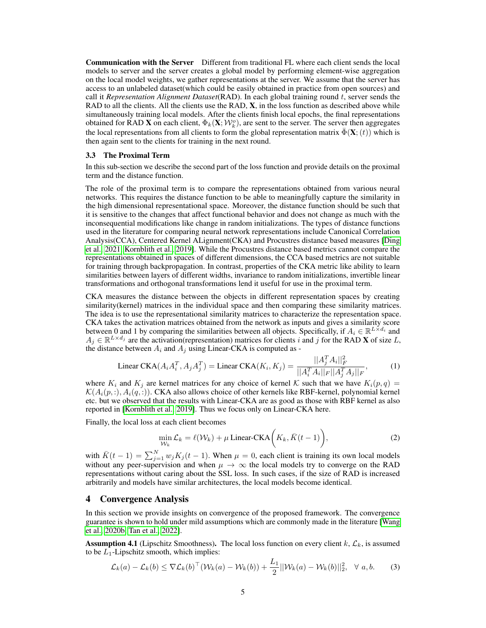Communication with the Server Different from traditional FL where each client sends the local models to server and the server creates a global model by performing element-wise aggregation on the local model weights, we gather representations at the server. We assume that the server has access to an unlabeled dataset(which could be easily obtained in practice from open sources) and call it *Representation Alignment Dataset*(RAD). In each global training round t, server sends the RAD to all the clients. All the clients use the RAD,  $X$ , in the loss function as described above while simultaneously training local models. After the clients finish local epochs, the final representations obtained for RAD **X** on each client,  $\Phi_k(\mathbf{X}; \mathcal{W}_k^o)$ , are sent to the server. The server then aggregates the local representations from all clients to form the global representation matrix  $\Phi(\mathbf{X}; (t))$  which is then again sent to the clients for training in the next round.

#### 3.3 The Proximal Term

In this sub-section we describe the second part of the loss function and provide details on the proximal term and the distance function.

The role of the proximal term is to compare the representations obtained from various neural networks. This requires the distance function to be able to meaningfully capture the similarity in the high dimensional representational space. Moreover, the distance function should be such that it is sensitive to the changes that affect functional behavior and does not change as much with the inconsequential modifications like change in random initializations. The types of distance functions used in the literature for comparing neural network representations include Canonical Correlation Analysis(CCA), Centered Kernel ALignment(CKA) and Procustres distance based measures [\[Ding](#page-9-14) [et al., 2021,](#page-9-14) [Kornblith et al., 2019\]](#page-10-14). While the Procustres distance based metrics cannot compare the representations obtained in spaces of different dimensions, the CCA based metrics are not suitable for training through backpropagation. In contrast, properties of the CKA metric like ability to learn similarities between layers of different widths, invariance to random initializations, invertible linear transformations and orthogonal transformations lend it useful for use in the proximal term.

CKA measures the distance between the objects in different representation spaces by creating similarity(kernel) matrices in the individual space and then comparing these similarity matrices. The idea is to use the representational similarity matrices to characterize the representation space. CKA takes the activation matrices obtained from the network as inputs and gives a similarity score between 0 and 1 by comparing the similarities between all objects. Specifically, if  $A_i \in \mathbb{R}^{L \times d_i}$  and  $A_j \in \mathbb{R}^{L \times d_j}$  are the activation(representation) matrices for clients i and j for the RAD **X** of size L, the distance between  $A_i$  and  $A_j$  using Linear-CKA is computed as -

$$
\text{Linear CKA}(A_i A_i^T, A_j A_j^T) = \text{Linear CKA}(K_i, K_j) = \frac{||A_j^T A_i||_F^2}{||A_i^T A_i||_F ||A_j^T A_j||_F},\tag{1}
$$

where  $K_i$  and  $K_j$  are kernel matrices for any choice of kernel K such that we have  $K_i(p,q)$  $\mathcal{K}(A_i(p, :), A_i(q, :))$ . CKA also allows choice of other kernels like RBF-kernel, polynomial kernel etc. but we observed that the results with Linear-CKA are as good as those with RBF kernel as also reported in [\[Kornblith et al., 2019\]](#page-10-14). Thus we focus only on Linear-CKA here.

Finally, the local loss at each client becomes

<span id="page-4-1"></span>
$$
\min_{\mathcal{W}_k} \mathcal{L}_k = \ell(\mathcal{W}_k) + \mu \operatorname{Linear-CKA}\bigg(K_k, \bar{K}(t-1)\bigg),\tag{2}
$$

with  $\bar{K}(t-1) = \sum_{j=1}^{N} w_j K_j(t-1)$ . When  $\mu = 0$ , each client is training its own local models without any peer-supervision and when  $\mu \to \infty$  the local models try to converge on the RAD representations without caring about the SSL loss. In such cases, if the size of RAD is increased arbitrarily and models have similar architectures, the local models become identical.

#### <span id="page-4-0"></span>4 Convergence Analysis

In this section we provide insights on convergence of the proposed framework. The convergence guarantee is shown to hold under mild assumptions which are commonly made in the literature [\[Wang](#page-11-7) [et al., 2020b,](#page-11-7) [Tan et al., 2022\]](#page-11-0).

<span id="page-4-2"></span>**Assumption 4.1** (Lipschitz Smoothness). The local loss function on every client k,  $\mathcal{L}_k$ , is assumed to be  $L_1$ -Lipschitz smooth, which implies:

$$
\mathcal{L}_k(a) - \mathcal{L}_k(b) \le \nabla \mathcal{L}_k(b)^\top (\mathcal{W}_k(a) - \mathcal{W}_k(b)) + \frac{L_1}{2} ||\mathcal{W}_k(a) - \mathcal{W}_k(b)||_2^2, \quad \forall \ a, b.
$$
 (3)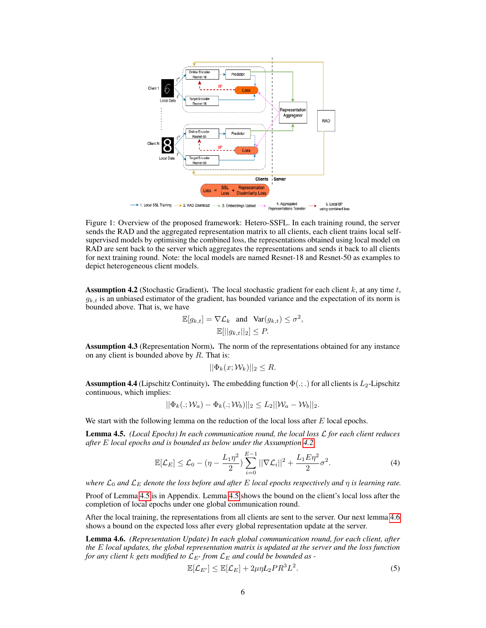

<span id="page-5-0"></span>Figure 1: Overview of the proposed framework: Hetero-SSFL. In each training round, the server sends the RAD and the aggregated representation matrix to all clients, each client trains local selfsupervised models by optimising the combined loss, the representations obtained using local model on RAD are sent back to the server which aggregates the representations and sends it back to all clients for next training round. Note: the local models are named Resnet-18 and Resnet-50 as examples to depict heterogeneous client models.

<span id="page-5-1"></span>**Assumption 4.2** (Stochastic Gradient). The local stochastic gradient for each client  $k$ , at any time  $t$ ,  $g_{k,t}$  is an unbiased estimator of the gradient, has bounded variance and the expectation of its norm is bounded above. That is, we have

$$
\mathbb{E}[g_{k,t}] = \nabla \mathcal{L}_k \text{ and } \text{Var}(g_{k,t}) \le \sigma^2,
$$
  

$$
\mathbb{E}[||g_{k,t}||_2] \le P.
$$

Assumption 4.3 (Representation Norm). The norm of the representations obtained for any instance on any client is bounded above by  $R$ . That is:

$$
||\Phi_k(x; \mathcal{W}_k)||_2 \leq R.
$$

**Assumption 4.4** (Lipschitz Continuity). The embedding function  $\Phi$ (:;) for all clients is  $L_2$ -Lipschitz continuous, which implies:

$$
||\Phi_k(.; \mathcal{W}_a) - \Phi_k(.; \mathcal{W}_b)||_2 \leq L_2||\mathcal{W}_a - \mathcal{W}_b||_2.
$$

We start with the following lemma on the reduction of the local loss after  $E$  local epochs.

<span id="page-5-2"></span>Lemma 4.5. *(Local Epochs) In each communication round, the local loss* L *for each client reduces after* E *local epochs and is bounded as below under the Assumption [4.2.](#page-5-1)*

$$
\mathbb{E}[\mathcal{L}_E] \le \mathcal{L}_0 - (\eta - \frac{L_1 \eta^2}{2}) \sum_{i=0}^{E-1} ||\nabla \mathcal{L}_i||^2 + \frac{L_1 E \eta^2}{2} \sigma^2.
$$
 (4)

*where*  $\mathcal{L}_0$  *and*  $\mathcal{L}_E$  *denote the loss before and after E local epochs respectively and η is learning rate.* 

Proof of Lemma [4.5](#page-5-2) is in Appendix. Lemma [4.5](#page-5-2) shows the bound on the client's local loss after the completion of local epochs under one global communication round.

After the local training, the representations from all clients are sent to the server. Our next lemma [4.6](#page-5-3) shows a bound on the expected loss after every global representation update at the server.

<span id="page-5-3"></span>Lemma 4.6. *(Representation Update) In each global communication round, for each client, after the* E *local updates, the global representation matrix is updated at the server and the loss function for any client k* gets modified to  $\mathcal{L}_{E}$  *from*  $\mathcal{L}_E$  *and could be bounded as -*

$$
\mathbb{E}[\mathcal{L}_{E'}] \le \mathbb{E}[\mathcal{L}_E] + 2\mu\eta L_2 P R^3 L^2. \tag{5}
$$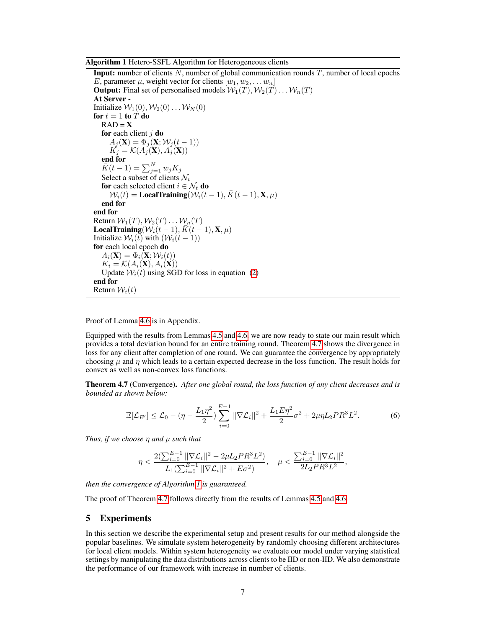Algorithm 1 Hetero-SSFL Algorithm for Heterogeneous clients

<span id="page-6-1"></span>**Input:** number of clients  $N$ , number of global communication rounds  $T$ , number of local epochs E, parameter  $\mu$ , weight vector for clients  $[w_1, w_2, \ldots w_n]$ **Output:** Final set of personalised models  $W_1(T), W_2(T) \dots W_n(T)$ At Server - Initialize  $W_1(0), W_2(0) \dots W_N(0)$ for  $t = 1$  to  $\overline{T}$  do  $RAD = X$ for each client  $j$  do  $A_j(\mathbf{X}) = \Phi_j(\mathbf{X}; \mathcal{W}_j(t-1))$  $K_j = \mathcal{K}(A_j(\mathbf{X}), A_j(\mathbf{X}))$ end for  $\bar{K}(t-1) = \sum_{j=1}^{N} w_j K_j$ Select a subset of clients  $\mathcal{N}_t$ for each selected client  $i \in \mathcal{N}_t$  do  $W_i(t) =$ **LocalTraining**( $W_i(t-1)$ ,  $\bar{K}(t-1)$ , **X**,  $\mu$ ) end for end for Return  $W_1(T), W_2(T) \ldots W_n(T)$ LocalTraining( $W_i(t-1)$ ,  $\bar{K}(t-1)$ ,  $\mathbf{X}, \mu$ ) Initialize  $W_i(t)$  with  $(W_i(t-1))$ for each local epoch do  $A_i(\mathbf{X}) = \Phi_i(\mathbf{X}; \mathcal{W}_i(t))$  $K_i = \mathcal{K}(A_i(\mathbf{X}), A_i(\mathbf{X}))$ Update  $W_i(t)$  using SGD for loss in equation [\(2\)](#page-4-1) end for Return  $W_i(t)$ 

Proof of Lemma [4.6](#page-5-3) is in Appendix.

Equipped with the results from Lemmas [4.5](#page-5-2) and [4.6,](#page-5-3) we are now ready to state our main result which provides a total deviation bound for an entire training round. Theorem [4.7](#page-6-2) shows the divergence in loss for any client after completion of one round. We can guarantee the convergence by appropriately choosing  $\mu$  and  $\eta$  which leads to a certain expected decrease in the loss function. The result holds for convex as well as non-convex loss functions.

<span id="page-6-2"></span>Theorem 4.7 (Convergence). *After one global round, the loss function of any client decreases and is bounded as shown below:*

$$
\mathbb{E}[\mathcal{L}_{E'}] \leq \mathcal{L}_0 - (\eta - \frac{L_1 \eta^2}{2}) \sum_{i=0}^{E-1} ||\nabla \mathcal{L}_i||^2 + \frac{L_1 E \eta^2}{2} \sigma^2 + 2\mu \eta L_2 P R^3 L^2. \tag{6}
$$

*Thus, if we choose* η *and* µ *such that*

$$
\eta < \frac{2(\sum_{i=0}^{E-1} ||\nabla \mathcal{L}_i||^2 - 2\mu L_2 P R^3 L^2)}{L_1(\sum_{i=0}^{E-1} ||\nabla \mathcal{L}_i||^2 + E\sigma^2)}, \quad \mu < \frac{\sum_{i=0}^{E-1} ||\nabla \mathcal{L}_i||^2}{2L_2 P R^3 L^2},
$$

*then the convergence of Algorithm [1](#page-6-1) is guaranteed.*

The proof of Theorem [4.7](#page-6-2) follows directly from the results of Lemmas [4.5](#page-5-2) and [4.6.](#page-5-3)

## <span id="page-6-0"></span>5 Experiments

In this section we describe the experimental setup and present results for our method alongside the popular baselines. We simulate system heterogeneity by randomly choosing different architectures for local client models. Within system heterogeneity we evaluate our model under varying statistical settings by manipulating the data distributions across clients to be IID or non-IID. We also demonstrate the performance of our framework with increase in number of clients.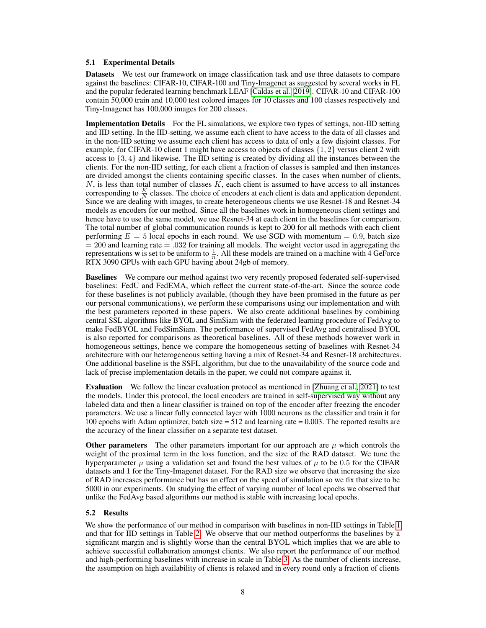#### 5.1 Experimental Details

Datasets We test our framework on image classification task and use three datasets to compare against the baselines: CIFAR-10, CIFAR-100 and Tiny-Imagenet as suggested by several works in FL and the popular federated learning benchmark LEAF [\[Caldas et al., 2019\]](#page-9-15). CIFAR-10 and CIFAR-100 contain 50,000 train and 10,000 test colored images for 10 classes and 100 classes respectively and Tiny-Imagenet has 100,000 images for 200 classes.

**Implementation Details** For the FL simulations, we explore two types of settings, non-IID setting and IID setting. In the IID-setting, we assume each client to have access to the data of all classes and in the non-IID setting we assume each client has access to data of only a few disjoint classes. For example, for CIFAR-10 client 1 might have access to objects of classes  $\{1, 2\}$  versus client 2 with access to  $\{3, 4\}$  and likewise. The IID setting is created by dividing all the instances between the clients. For the non-IID setting, for each client a fraction of classes is sampled and then instances are divided amongst the clients containing specific classes. In the cases when number of clients,  $N$ , is less than total number of classes  $K$ , each client is assumed to have access to all instances corresponding to  $\frac{K}{N}$  classes. The choice of encoders at each client is data and application dependent. Since we are dealing with images, to create heterogeneous clients we use Resnet-18 and Resnet-34 models as encoders for our method. Since all the baselines work in homogeneous client settings and hence have to use the same model, we use Resnet-34 at each client in the baselines for comparison. The total number of global communication rounds is kept to 200 for all methods with each client performing  $E = 5$  local epochs in each round. We use SGD with momentum  $= 0.9$ , batch size  $= 200$  and learning rate  $= .032$  for training all models. The weight vector used in aggregating the representations **w** is set to be uniform to  $\frac{1}{n}$ . All these models are trained on a machine with 4 GeForce RTX 3090 GPUs with each GPU having about 24gb of memory.

Baselines We compare our method against two very recently proposed federated self-supervised baselines: FedU and FedEMA, which reflect the current state-of-the-art. Since the source code for these baselines is not publicly available, (though they have been promised in the future as per our personal communications), we perform these comparisons using our implementation and with the best parameters reported in these papers. We also create additional baselines by combining central SSL algorithms like BYOL and SimSiam with the federated learning procedure of FedAvg to make FedBYOL and FedSimSiam. The performance of supervised FedAvg and centralised BYOL is also reported for comparisons as theoretical baselines. All of these methods however work in homogeneous settings, hence we compare the homogeneous setting of baselines with Resnet-34 architecture with our heterogeneous setting having a mix of Resnet-34 and Resnet-18 architectures. One additional baseline is the SSFL algorithm, but due to the unavailability of the source code and lack of precise implementation details in the paper, we could not compare against it.

Evaluation We follow the linear evaluation protocol as mentioned in [\[Zhuang et al., 2021\]](#page-12-1) to test the models. Under this protocol, the local encoders are trained in self-supervised way without any labeled data and then a linear classifier is trained on top of the encoder after freezing the encoder parameters. We use a linear fully connected layer with 1000 neurons as the classifier and train it for 100 epochs with Adam optimizer, batch size = 512 and learning rate = 0.003. The reported results are the accuracy of the linear classifier on a separate test dataset.

**Other parameters** The other parameters important for our approach are  $\mu$  which controls the weight of the proximal term in the loss function, and the size of the RAD dataset. We tune the hyperparameter  $\mu$  using a validation set and found the best values of  $\mu$  to be 0.5 for the CIFAR datasets and 1 for the Tiny-Imagenet dataset. For the RAD size we observe that increasing the size of RAD increases performance but has an effect on the speed of simulation so we fix that size to be 5000 in our experiments. On studying the effect of varying number of local epochs we observed that unlike the FedAvg based algorithms our method is stable with increasing local epochs.

#### 5.2 Results

We show the performance of our method in comparison with baselines in non-IID settings in Table [1](#page-8-1) and that for IID settings in Table [2.](#page-8-2) We observe that our method outperforms the baselines by a significant margin and is slightly worse than the central BYOL which implies that we are able to achieve successful collaboration amongst clients. We also report the performance of our method and high-performing baselines with increase in scale in Table [3.](#page-8-3) As the number of clients increase, the assumption on high availability of clients is relaxed and in every round only a fraction of clients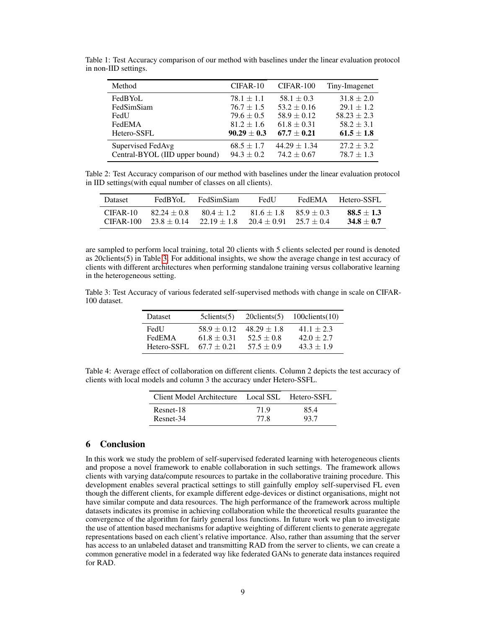| Method                         | CIFAR-10        | CIFAR-100        | Tiny-Imagenet   |
|--------------------------------|-----------------|------------------|-----------------|
| FedBYoL                        | $78.1 \pm 1.1$  | $58.1 \pm 0.3$   | $31.8 \pm 2.0$  |
| FedSimSiam                     | $76.7 \pm 1.5$  | $53.2 \pm 0.16$  | $29.1 \pm 1.2$  |
| FedU                           | $79.6 \pm 0.5$  | $58.9 \pm 0.12$  | $58.23 \pm 2.3$ |
| FedEMA                         | $81.2 \pm 1.6$  | $61.8 \pm 0.31$  | $58.2 \pm 3.1$  |
| Hetero-SSFL                    | $90.29 \pm 0.3$ | $67.7 \pm 0.21$  | $61.5 \pm 1.8$  |
| Supervised FedAvg              | $68.5 \pm 1.7$  | $44.29 \pm 1.34$ | $27.2 \pm 3.2$  |
| Central-BYOL (IID upper bound) | $94.3 \pm 0.2$  | $74.2 \pm 0.67$  | $78.7 \pm 1.3$  |
|                                |                 |                  |                 |

<span id="page-8-1"></span>Table 1: Test Accuracy comparison of our method with baselines under the linear evaluation protocol in non-IID settings.

<span id="page-8-2"></span>Table 2: Test Accuracy comparison of our method with baselines under the linear evaluation protocol in IID settings(with equal number of classes on all clients).

| Dataset   | FedBYoL         | <b>FedSimSiam</b> | FedU                       | FedEMA       | Hetero-SSFL  |
|-----------|-----------------|-------------------|----------------------------|--------------|--------------|
| CIFAR-10  | $82.24 + 0.8$   | $80.4 + 1.2$      | $81.6 + 1.8$               | $85.9 + 0.3$ | $88.5 + 1.3$ |
| CIFAR-100 | $23.8 \pm 0.14$ | $22.19 \pm 1.8$   | $20.4 + 0.91$ $25.7 + 0.4$ |              | $34.8 + 0.7$ |

are sampled to perform local training, total 20 clients with 5 clients selected per round is denoted as 20clients(5) in Table [3.](#page-8-3) For additional insights, we show the average change in test accuracy of clients with different architectures when performing standalone training versus collaborative learning in the heterogeneous setting.

<span id="page-8-3"></span>Table 3: Test Accuracy of various federated self-supervised methods with change in scale on CIFAR-100 dataset.

| Dataset     | $5$ clients $(5)$ | $20$ clients $(5)$ | $100$ clients $(10)$ |
|-------------|-------------------|--------------------|----------------------|
| FedU        | $58.9 + 0.12$     | $48.29 + 1.8$      | $41.1 \pm 2.3$       |
| FedEMA      | $61.8 \pm 0.31$   | $52.5 \pm 0.8$     | $42.0 \pm 2.7$       |
| Hetero-SSFL | $67.7 \pm 0.21$   | $57.5 \pm 0.9$     | $43.3 \pm 1.9$       |

Table 4: Average effect of collaboration on different clients. Column 2 depicts the test accuracy of clients with local models and column 3 the accuracy under Hetero-SSFL.

| Client Model Architecture Local SSL Hetero-SSFL |              |              |
|-------------------------------------------------|--------------|--------------|
| Resnet-18<br>Resnet-34                          | 71.9<br>77 R | 85.4<br>93.7 |
|                                                 |              |              |

## <span id="page-8-0"></span>6 Conclusion

In this work we study the problem of self-supervised federated learning with heterogeneous clients and propose a novel framework to enable collaboration in such settings. The framework allows clients with varying data/compute resources to partake in the collaborative training procedure. This development enables several practical settings to still gainfully employ self-supervised FL even though the different clients, for example different edge-devices or distinct organisations, might not have similar compute and data resources. The high performance of the framework across multiple datasets indicates its promise in achieving collaboration while the theoretical results guarantee the convergence of the algorithm for fairly general loss functions. In future work we plan to investigate the use of attention based mechanisms for adaptive weighting of different clients to generate aggregate representations based on each client's relative importance. Also, rather than assuming that the server has access to an unlabeled dataset and transmitting RAD from the server to clients, we can create a common generative model in a federated way like federated GANs to generate data instances required for RAD.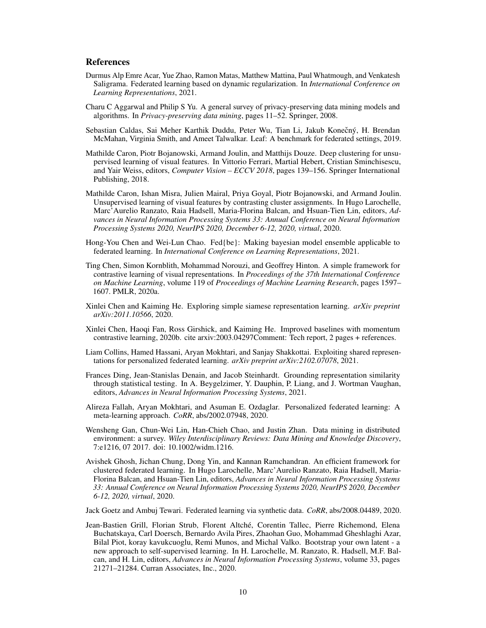## References

- <span id="page-9-3"></span>Durmus Alp Emre Acar, Yue Zhao, Ramon Matas, Matthew Mattina, Paul Whatmough, and Venkatesh Saligrama. Federated learning based on dynamic regularization. In *International Conference on Learning Representations*, 2021.
- <span id="page-9-2"></span>Charu C Aggarwal and Philip S Yu. A general survey of privacy-preserving data mining models and algorithms. In *Privacy-preserving data mining*, pages 11–52. Springer, 2008.
- <span id="page-9-15"></span>Sebastian Caldas, Sai Meher Karthik Duddu, Peter Wu, Tian Li, Jakub Konečný, H. Brendan McMahan, Virginia Smith, and Ameet Talwalkar. Leaf: A benchmark for federated settings, 2019.
- <span id="page-9-9"></span>Mathilde Caron, Piotr Bojanowski, Armand Joulin, and Matthijs Douze. Deep clustering for unsupervised learning of visual features. In Vittorio Ferrari, Martial Hebert, Cristian Sminchisescu, and Yair Weiss, editors, *Computer Vision – ECCV 2018*, pages 139–156. Springer International Publishing, 2018.
- <span id="page-9-10"></span>Mathilde Caron, Ishan Misra, Julien Mairal, Priya Goyal, Piotr Bojanowski, and Armand Joulin. Unsupervised learning of visual features by contrasting cluster assignments. In Hugo Larochelle, Marc'Aurelio Ranzato, Raia Hadsell, Maria-Florina Balcan, and Hsuan-Tien Lin, editors, *Advances in Neural Information Processing Systems 33: Annual Conference on Neural Information Processing Systems 2020, NeurIPS 2020, December 6-12, 2020, virtual*, 2020.
- <span id="page-9-4"></span>Hong-You Chen and Wei-Lun Chao. Fed{be}: Making bayesian model ensemble applicable to federated learning. In *International Conference on Learning Representations*, 2021.
- <span id="page-9-8"></span>Ting Chen, Simon Kornblith, Mohammad Norouzi, and Geoffrey Hinton. A simple framework for contrastive learning of visual representations. In *Proceedings of the 37th International Conference on Machine Learning*, volume 119 of *Proceedings of Machine Learning Research*, pages 1597– 1607. PMLR, 2020a.
- <span id="page-9-11"></span>Xinlei Chen and Kaiming He. Exploring simple siamese representation learning. *arXiv preprint arXiv:2011.10566*, 2020.
- <span id="page-9-13"></span>Xinlei Chen, Haoqi Fan, Ross Girshick, and Kaiming He. Improved baselines with momentum contrastive learning, 2020b. cite arxiv:2003.04297Comment: Tech report, 2 pages + references.
- <span id="page-9-5"></span>Liam Collins, Hamed Hassani, Aryan Mokhtari, and Sanjay Shakkottai. Exploiting shared representations for personalized federated learning. *arXiv preprint arXiv:2102.07078*, 2021.
- <span id="page-9-14"></span>Frances Ding, Jean-Stanislas Denain, and Jacob Steinhardt. Grounding representation similarity through statistical testing. In A. Beygelzimer, Y. Dauphin, P. Liang, and J. Wortman Vaughan, editors, *Advances in Neural Information Processing Systems*, 2021.
- <span id="page-9-0"></span>Alireza Fallah, Aryan Mokhtari, and Asuman E. Ozdaglar. Personalized federated learning: A meta-learning approach. *CoRR*, abs/2002.07948, 2020.
- <span id="page-9-1"></span>Wensheng Gan, Chun-Wei Lin, Han-Chieh Chao, and Justin Zhan. Data mining in distributed environment: a survey. *Wiley Interdisciplinary Reviews: Data Mining and Knowledge Discovery*, 7:e1216, 07 2017. doi: 10.1002/widm.1216.
- <span id="page-9-6"></span>Avishek Ghosh, Jichan Chung, Dong Yin, and Kannan Ramchandran. An efficient framework for clustered federated learning. In Hugo Larochelle, Marc'Aurelio Ranzato, Raia Hadsell, Maria-Florina Balcan, and Hsuan-Tien Lin, editors, *Advances in Neural Information Processing Systems 33: Annual Conference on Neural Information Processing Systems 2020, NeurIPS 2020, December 6-12, 2020, virtual*, 2020.

<span id="page-9-7"></span>Jack Goetz and Ambuj Tewari. Federated learning via synthetic data. *CoRR*, abs/2008.04489, 2020.

<span id="page-9-12"></span>Jean-Bastien Grill, Florian Strub, Florent Altché, Corentin Tallec, Pierre Richemond, Elena Buchatskaya, Carl Doersch, Bernardo Avila Pires, Zhaohan Guo, Mohammad Gheshlaghi Azar, Bilal Piot, koray kavukcuoglu, Remi Munos, and Michal Valko. Bootstrap your own latent - a new approach to self-supervised learning. In H. Larochelle, M. Ranzato, R. Hadsell, M.F. Balcan, and H. Lin, editors, *Advances in Neural Information Processing Systems*, volume 33, pages 21271–21284. Curran Associates, Inc., 2020.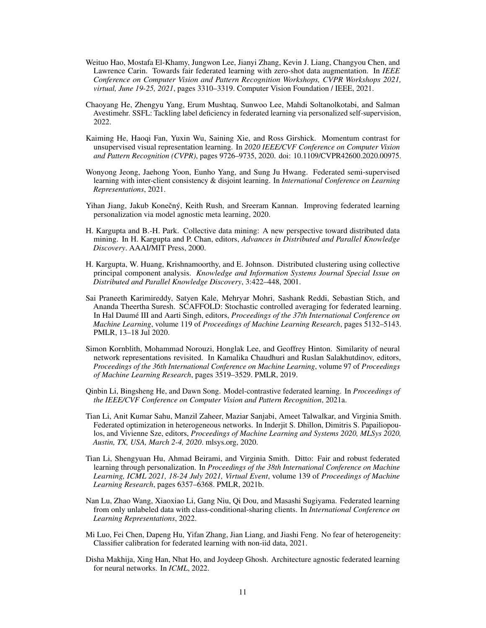- <span id="page-10-10"></span>Weituo Hao, Mostafa El-Khamy, Jungwon Lee, Jianyi Zhang, Kevin J. Liang, Changyou Chen, and Lawrence Carin. Towards fair federated learning with zero-shot data augmentation. In *IEEE Conference on Computer Vision and Pattern Recognition Workshops, CVPR Workshops 2021, virtual, June 19-25, 2021*, pages 3310–3319. Computer Vision Foundation / IEEE, 2021.
- <span id="page-10-3"></span>Chaoyang He, Zhengyu Yang, Erum Mushtaq, Sunwoo Lee, Mahdi Soltanolkotabi, and Salman Avestimehr. SSFL: Tackling label deficiency in federated learning via personalized self-supervision, 2022.
- <span id="page-10-12"></span>Kaiming He, Haoqi Fan, Yuxin Wu, Saining Xie, and Ross Girshick. Momentum contrast for unsupervised visual representation learning. In *2020 IEEE/CVF Conference on Computer Vision and Pattern Recognition (CVPR)*, pages 9726–9735, 2020. doi: 10.1109/CVPR42600.2020.00975.
- <span id="page-10-1"></span>Wonyong Jeong, Jaehong Yoon, Eunho Yang, and Sung Ju Hwang. Federated semi-supervised learning with inter-client consistency & disjoint learning. In *International Conference on Learning Representations*, 2021.
- <span id="page-10-5"></span>Yihan Jiang, Jakub Konečný, Keith Rush, and Sreeram Kannan. Improving federated learning personalization via model agnostic meta learning, 2020.
- <span id="page-10-6"></span>H. Kargupta and B.-H. Park. Collective data mining: A new perspective toward distributed data mining. In H. Kargupta and P. Chan, editors, *Advances in Distributed and Parallel Knowledge Discovery*. AAAI/MIT Press, 2000.
- <span id="page-10-7"></span>H. Kargupta, W. Huang, Krishnamoorthy, and E. Johnson. Distributed clustering using collective principal component analysis. *Knowledge and Information Systems Journal Special Issue on Distributed and Parallel Knowledge Discovery*, 3:422–448, 2001.
- <span id="page-10-9"></span>Sai Praneeth Karimireddy, Satyen Kale, Mehryar Mohri, Sashank Reddi, Sebastian Stich, and Ananda Theertha Suresh. SCAFFOLD: Stochastic controlled averaging for federated learning. In Hal Daumé III and Aarti Singh, editors, *Proceedings of the 37th International Conference on Machine Learning*, volume 119 of *Proceedings of Machine Learning Research*, pages 5132–5143. PMLR, 13–18 Jul 2020.
- <span id="page-10-14"></span>Simon Kornblith, Mohammad Norouzi, Honglak Lee, and Geoffrey Hinton. Similarity of neural network representations revisited. In Kamalika Chaudhuri and Ruslan Salakhutdinov, editors, *Proceedings of the 36th International Conference on Machine Learning*, volume 97 of *Proceedings of Machine Learning Research*, pages 3519–3529. PMLR, 2019.
- <span id="page-10-13"></span>Qinbin Li, Bingsheng He, and Dawn Song. Model-contrastive federated learning. In *Proceedings of the IEEE/CVF Conference on Computer Vision and Pattern Recognition*, 2021a.
- <span id="page-10-8"></span>Tian Li, Anit Kumar Sahu, Manzil Zaheer, Maziar Sanjabi, Ameet Talwalkar, and Virginia Smith. Federated optimization in heterogeneous networks. In Inderjit S. Dhillon, Dimitris S. Papailiopoulos, and Vivienne Sze, editors, *Proceedings of Machine Learning and Systems 2020, MLSys 2020, Austin, TX, USA, March 2-4, 2020*. mlsys.org, 2020.
- <span id="page-10-0"></span>Tian Li, Shengyuan Hu, Ahmad Beirami, and Virginia Smith. Ditto: Fair and robust federated learning through personalization. In *Proceedings of the 38th International Conference on Machine Learning, ICML 2021, 18-24 July 2021, Virtual Event*, volume 139 of *Proceedings of Machine Learning Research*, pages 6357–6368. PMLR, 2021b.
- <span id="page-10-2"></span>Nan Lu, Zhao Wang, Xiaoxiao Li, Gang Niu, Qi Dou, and Masashi Sugiyama. Federated learning from only unlabeled data with class-conditional-sharing clients. In *International Conference on Learning Representations*, 2022.
- <span id="page-10-11"></span>Mi Luo, Fei Chen, Dapeng Hu, Yifan Zhang, Jian Liang, and Jiashi Feng. No fear of heterogeneity: Classifier calibration for federated learning with non-iid data, 2021.
- <span id="page-10-4"></span>Disha Makhija, Xing Han, Nhat Ho, and Joydeep Ghosh. Architecture agnostic federated learning for neural networks. In *ICML*, 2022.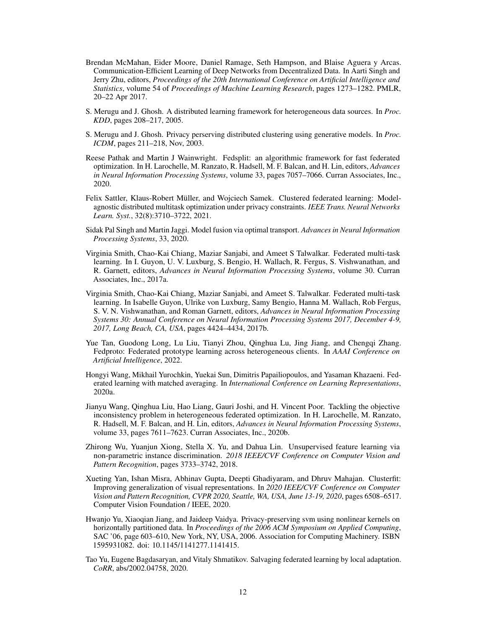- <span id="page-11-4"></span>Brendan McMahan, Eider Moore, Daniel Ramage, Seth Hampson, and Blaise Aguera y Arcas. Communication-Efficient Learning of Deep Networks from Decentralized Data. In Aarti Singh and Jerry Zhu, editors, *Proceedings of the 20th International Conference on Artificial Intelligence and Statistics*, volume 54 of *Proceedings of Machine Learning Research*, pages 1273–1282. PMLR, 20–22 Apr 2017.
- <span id="page-11-2"></span>S. Merugu and J. Ghosh. A distributed learning framework for heterogeneous data sources. In *Proc. KDD*, pages 208–217, 2005.
- <span id="page-11-1"></span>S. Merugu and J. Ghosh. Privacy perserving distributed clustering using generative models. In *Proc. ICDM*, pages 211–218, Nov, 2003.
- <span id="page-11-5"></span>Reese Pathak and Martin J Wainwright. Fedsplit: an algorithmic framework for fast federated optimization. In H. Larochelle, M. Ranzato, R. Hadsell, M. F. Balcan, and H. Lin, editors, *Advances in Neural Information Processing Systems*, volume 33, pages 7057–7066. Curran Associates, Inc., 2020.
- <span id="page-11-11"></span>Felix Sattler, Klaus-Robert Müller, and Wojciech Samek. Clustered federated learning: Modelagnostic distributed multitask optimization under privacy constraints. *IEEE Trans. Neural Networks Learn. Syst.*, 32(8):3710–3722, 2021.
- <span id="page-11-8"></span>Sidak Pal Singh and Martin Jaggi. Model fusion via optimal transport. *Advances in Neural Information Processing Systems*, 33, 2020.
- <span id="page-11-9"></span>Virginia Smith, Chao-Kai Chiang, Maziar Sanjabi, and Ameet S Talwalkar. Federated multi-task learning. In I. Guyon, U. V. Luxburg, S. Bengio, H. Wallach, R. Fergus, S. Vishwanathan, and R. Garnett, editors, *Advances in Neural Information Processing Systems*, volume 30. Curran Associates, Inc., 2017a.
- <span id="page-11-10"></span>Virginia Smith, Chao-Kai Chiang, Maziar Sanjabi, and Ameet S. Talwalkar. Federated multi-task learning. In Isabelle Guyon, Ulrike von Luxburg, Samy Bengio, Hanna M. Wallach, Rob Fergus, S. V. N. Vishwanathan, and Roman Garnett, editors, *Advances in Neural Information Processing Systems 30: Annual Conference on Neural Information Processing Systems 2017, December 4-9, 2017, Long Beach, CA, USA*, pages 4424–4434, 2017b.
- <span id="page-11-0"></span>Yue Tan, Guodong Long, Lu Liu, Tianyi Zhou, Qinghua Lu, Jing Jiang, and Chengqi Zhang. Fedproto: Federated prototype learning across heterogeneous clients. In *AAAI Conference on Artificial Intelligence*, 2022.
- <span id="page-11-6"></span>Hongyi Wang, Mikhail Yurochkin, Yuekai Sun, Dimitris Papailiopoulos, and Yasaman Khazaeni. Federated learning with matched averaging. In *International Conference on Learning Representations*, 2020a.
- <span id="page-11-7"></span>Jianyu Wang, Qinghua Liu, Hao Liang, Gauri Joshi, and H. Vincent Poor. Tackling the objective inconsistency problem in heterogeneous federated optimization. In H. Larochelle, M. Ranzato, R. Hadsell, M. F. Balcan, and H. Lin, editors, *Advances in Neural Information Processing Systems*, volume 33, pages 7611–7623. Curran Associates, Inc., 2020b.
- <span id="page-11-13"></span>Zhirong Wu, Yuanjun Xiong, Stella X. Yu, and Dahua Lin. Unsupervised feature learning via non-parametric instance discrimination. *2018 IEEE/CVF Conference on Computer Vision and Pattern Recognition*, pages 3733–3742, 2018.
- <span id="page-11-14"></span>Xueting Yan, Ishan Misra, Abhinav Gupta, Deepti Ghadiyaram, and Dhruv Mahajan. Clusterfit: Improving generalization of visual representations. In *2020 IEEE/CVF Conference on Computer Vision and Pattern Recognition, CVPR 2020, Seattle, WA, USA, June 13-19, 2020*, pages 6508–6517. Computer Vision Foundation / IEEE, 2020.
- <span id="page-11-3"></span>Hwanjo Yu, Xiaoqian Jiang, and Jaideep Vaidya. Privacy-preserving svm using nonlinear kernels on horizontally partitioned data. In *Proceedings of the 2006 ACM Symposium on Applied Computing*, SAC '06, page 603–610, New York, NY, USA, 2006. Association for Computing Machinery. ISBN 1595931082. doi: 10.1145/1141277.1141415.
- <span id="page-11-12"></span>Tao Yu, Eugene Bagdasaryan, and Vitaly Shmatikov. Salvaging federated learning by local adaptation. *CoRR*, abs/2002.04758, 2020.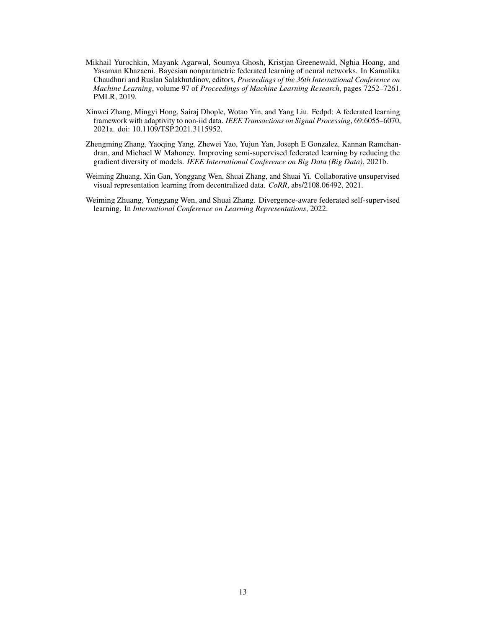- <span id="page-12-4"></span>Mikhail Yurochkin, Mayank Agarwal, Soumya Ghosh, Kristjan Greenewald, Nghia Hoang, and Yasaman Khazaeni. Bayesian nonparametric federated learning of neural networks. In Kamalika Chaudhuri and Ruslan Salakhutdinov, editors, *Proceedings of the 36th International Conference on Machine Learning*, volume 97 of *Proceedings of Machine Learning Research*, pages 7252–7261. PMLR, 2019.
- <span id="page-12-3"></span>Xinwei Zhang, Mingyi Hong, Sairaj Dhople, Wotao Yin, and Yang Liu. Fedpd: A federated learning framework with adaptivity to non-iid data. *IEEE Transactions on Signal Processing*, 69:6055–6070, 2021a. doi: 10.1109/TSP.2021.3115952.
- <span id="page-12-0"></span>Zhengming Zhang, Yaoqing Yang, Zhewei Yao, Yujun Yan, Joseph E Gonzalez, Kannan Ramchandran, and Michael W Mahoney. Improving semi-supervised federated learning by reducing the gradient diversity of models. *IEEE International Conference on Big Data (Big Data)*, 2021b.
- <span id="page-12-1"></span>Weiming Zhuang, Xin Gan, Yonggang Wen, Shuai Zhang, and Shuai Yi. Collaborative unsupervised visual representation learning from decentralized data. *CoRR*, abs/2108.06492, 2021.
- <span id="page-12-2"></span>Weiming Zhuang, Yonggang Wen, and Shuai Zhang. Divergence-aware federated self-supervised learning. In *International Conference on Learning Representations*, 2022.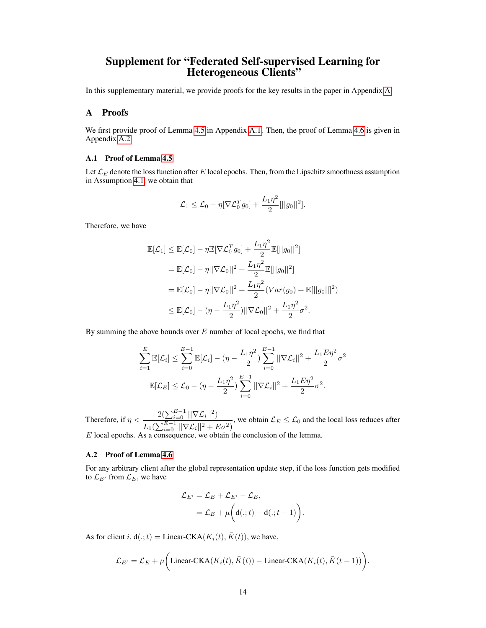## Supplement for "Federated Self-supervised Learning for Heterogeneous Clients"

In this supplementary material, we provide proofs for the key results in the paper in Appendix [A.](#page-13-0)

## <span id="page-13-0"></span>A Proofs

We first provide proof of Lemma [4.5](#page-5-2) in Appendix [A.1.](#page-13-1) Then, the proof of Lemma [4.6](#page-5-3) is given in Appendix [A.2.](#page-13-2)

## <span id="page-13-1"></span>A.1 Proof of Lemma [4.5](#page-5-2)

Let  $\mathcal{L}_E$  denote the loss function after E local epochs. Then, from the Lipschitz smoothness assumption in Assumption [4.1,](#page-4-2) we obtain that

$$
\mathcal{L}_1 \leq \mathcal{L}_0 - \eta [\nabla \mathcal{L}_0^T g_0] + \frac{L_1 \eta^2}{2} [||g_0||^2].
$$

Therefore, we have

$$
\mathbb{E}[\mathcal{L}_1] \leq \mathbb{E}[\mathcal{L}_0] - \eta \mathbb{E}[\nabla \mathcal{L}_0^T g_0] + \frac{L_1 \eta^2}{2} \mathbb{E}[||g_0||^2]
$$
  
\n
$$
= \mathbb{E}[\mathcal{L}_0] - \eta ||\nabla \mathcal{L}_0||^2 + \frac{L_1 \eta^2}{2} \mathbb{E}[||g_0||^2]
$$
  
\n
$$
= \mathbb{E}[\mathcal{L}_0] - \eta ||\nabla \mathcal{L}_0||^2 + \frac{L_1 \eta^2}{2} (Var(g_0) + \mathbb{E}[||g_0||]^2)
$$
  
\n
$$
\leq \mathbb{E}[\mathcal{L}_0] - (\eta - \frac{L_1 \eta^2}{2}) ||\nabla \mathcal{L}_0||^2 + \frac{L_1 \eta^2}{2} \sigma^2.
$$

By summing the above bounds over  $E$  number of local epochs, we find that

$$
\sum_{i=1}^{E} \mathbb{E}[\mathcal{L}_i] \leq \sum_{i=0}^{E-1} \mathbb{E}[\mathcal{L}_i] - (\eta - \frac{L_1 \eta^2}{2}) \sum_{i=0}^{E-1} ||\nabla \mathcal{L}_i||^2 + \frac{L_1 E \eta^2}{2} \sigma^2
$$

$$
\mathbb{E}[\mathcal{L}_E] \leq \mathcal{L}_0 - (\eta - \frac{L_1 \eta^2}{2}) \sum_{i=0}^{E-1} ||\nabla \mathcal{L}_i||^2 + \frac{L_1 E \eta^2}{2} \sigma^2.
$$

Therefore, if  $\eta < \frac{2(\sum_{i=0}^{E-1} ||\nabla \mathcal{L}_i||^2)}{e^{-\sum_{i=0}^{E-1} ||\nabla \mathcal{L}_i||^2}}$  $\frac{\mathcal{L}_{\{X_i=0\}}\left|\left|\nabla \mathcal{L}_i\right|\right|}{L_1\left(\sum_{i=0}^{E-1}\left|\left|\nabla \mathcal{L}_i\right|\right|^2 + E\sigma^2\right)},$  we obtain  $\mathcal{L}_E \leq \mathcal{L}_0$  and the local loss reduces after  $E$  local epochs. As a consequence, we obtain the conclusion of the lemma.

## <span id="page-13-2"></span>A.2 Proof of Lemma [4.6](#page-5-3)

For any arbitrary client after the global representation update step, if the loss function gets modified to  $\mathcal{L}_{E'}$  from  $\mathcal{L}_E$ , we have

$$
\mathcal{L}_{E'} = \mathcal{L}_E + \mathcal{L}_{E'} - \mathcal{L}_E,
$$
  
= 
$$
\mathcal{L}_E + \mu \bigg( d(.; t) - d(.; t - 1) \bigg).
$$

As for client i,  $d(.;t) =$  Linear-CKA( $K_i(t)$ ,  $\bar{K}(t)$ ), we have,

$$
\mathcal{L}_{E'} = \mathcal{L}_E + \mu \bigg( \text{Linear-CKA}(K_i(t), \bar{K}(t)) - \text{Linear-CKA}(K_i(t), \bar{K}(t-1)) \bigg).
$$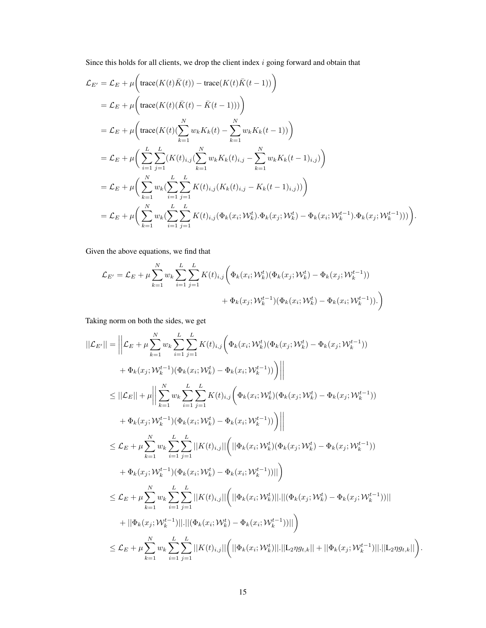Since this holds for all clients, we drop the client index  $i$  going forward and obtain that

$$
\mathcal{L}_{E'} = \mathcal{L}_{E} + \mu \Big( \text{trace}(K(t)\bar{K}(t)) - \text{trace}(K(t)\bar{K}(t-1)) \Big) \n= \mathcal{L}_{E} + \mu \Big( \text{trace}(K(t)(\bar{K}(t) - \bar{K}(t-1))) \Big) \n= \mathcal{L}_{E} + \mu \Big( \text{trace}(K(t)(\sum_{k=1}^{N} w_{k}K_{k}(t) - \sum_{k=1}^{N} w_{k}K_{k}(t-1)) \Big) \n= \mathcal{L}_{E} + \mu \Big( \sum_{i=1}^{L} \sum_{j=1}^{L} (K(t)_{i,j} (\sum_{k=1}^{N} w_{k}K_{k}(t)_{i,j} - \sum_{k=1}^{N} w_{k}K_{k}(t-1)_{i,j}) \Big) \n= \mathcal{L}_{E} + \mu \Big( \sum_{k=1}^{N} w_{k} (\sum_{i=1}^{L} \sum_{j=1}^{L} K(t)_{i,j} (K_{k}(t)_{i,j} - K_{k}(t-1)_{i,j})) \Big) \n= \mathcal{L}_{E} + \mu \Big( \sum_{k=1}^{N} w_{k} (\sum_{i=1}^{L} \sum_{j=1}^{L} K(t)_{i,j} (\Phi_{k}(x_{i}; \mathcal{W}_{k}^{t}).\Phi_{k}(x_{j}; \mathcal{W}_{k}^{t}) - \Phi_{k}(x_{i}; \mathcal{W}_{k}^{t-1}).\Phi_{k}(x_{j}; \mathcal{W}_{k}^{t-1})) \Big).
$$

Given the above equations, we find that

$$
\mathcal{L}_{E'} = \mathcal{L}_E + \mu \sum_{k=1}^{N} w_k \sum_{i=1}^{L} \sum_{j=1}^{L} K(t)_{i,j} \bigg( \Phi_k(x_i; \mathcal{W}_k^t) (\Phi_k(x_j; \mathcal{W}_k^t) - \Phi_k(x_j; \mathcal{W}_k^{t-1})) + \Phi_k(x_j; \mathcal{W}_k^{t-1}) (\Phi_k(x_i; \mathcal{W}_k^t) - \Phi_k(x_i; \mathcal{W}_k^{t-1})). \bigg)
$$

Taking norm on both the sides, we get

$$
||\mathcal{L}_{E'}|| = \left||\mathcal{L}_{E} + \mu \sum_{k=1}^{N} w_{k} \sum_{i=1}^{L} \sum_{j=1}^{L} K(t)_{i,j} \left( \Phi_{k}(x_{i}; \mathcal{W}_{k}^{t}) (\Phi_{k}(x_{j}; \mathcal{W}_{k}^{t}) - \Phi_{k}(x_{j}; \mathcal{W}_{k}^{t-1})) \right) \right. \\
\left. + \Phi_{k}(x_{j}; \mathcal{W}_{k}^{t-1}) (\Phi_{k}(x_{i}; \mathcal{W}_{k}^{t}) - \Phi_{k}(x_{i}; \mathcal{W}_{k}^{t-1})) \right) \left|| \right.
$$
\n
$$
\leq ||\mathcal{L}_{E}|| + \mu \left|| \sum_{k=1}^{N} w_{k} \sum_{i=1}^{L} \sum_{j=1}^{L} K(t)_{i,j} \left( \Phi_{k}(x_{i}; \mathcal{W}_{k}^{t}) (\Phi_{k}(x_{j}; \mathcal{W}_{k}^{t}) - \Phi_{k}(x_{j}; \mathcal{W}_{k}^{t-1})) \right) \right. \\
\left. + \Phi_{k}(x_{j}; \mathcal{W}_{k}^{t-1}) (\Phi_{k}(x_{i}; \mathcal{W}_{k}^{t}) - \Phi_{k}(x_{i}; \mathcal{W}_{k}^{t-1})) \right) \left|| \right.
$$
\n
$$
\leq \mathcal{L}_{E} + \mu \sum_{k=1}^{N} w_{k} \sum_{i=1}^{L} \sum_{j=1}^{L} ||K(t)_{i,j}|| \left( ||\Phi_{k}(x_{i}; \mathcal{W}_{k}^{t}) (\Phi_{k}(x_{j}; \mathcal{W}_{k}^{t}) - \Phi_{k}(x_{j}; \mathcal{W}_{k}^{t-1})) \right. \\
\left. + \Phi_{k}(x_{j}; \mathcal{W}_{k}^{t-1}) (\Phi_{k}(x_{i}; \mathcal{W}_{k}^{t}) - \Phi_{k}(x_{i}; \mathcal{W}_{k}^{t-1})) || \right)
$$
\n
$$
\leq \mathcal{L}_{E} + \mu \sum_{k=1}^{N} w_{k} \sum_{i=1}^{L} \sum_{j=1}^{L} ||K(t)_{i,j}|| \left( ||\Phi_{k}(x_{i}; \mathcal{W}_{k}^{t})||.||(\Phi_{k}(x_{j}; \mathcal{W}_{k}^{t}) - \
$$